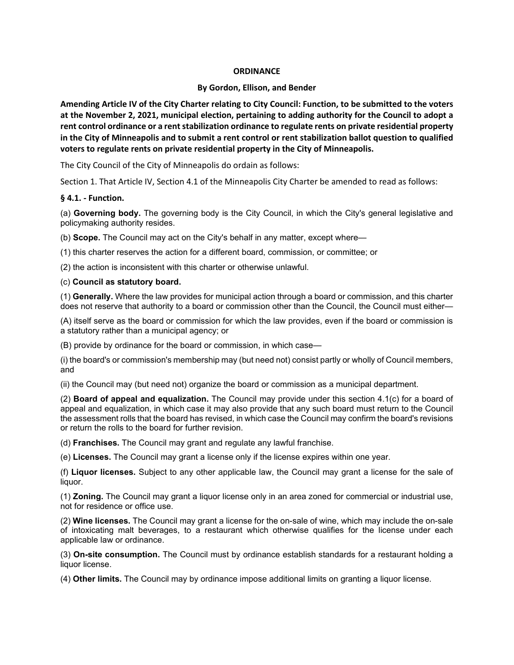## **ORDINANCE**

#### **By Gordon, Ellison, and Bender**

**Amending Article IV of the City Charter relating to City Council: Function, to be submitted to the voters at the November 2, 2021, municipal election, pertaining to adding authority for the Council to adopt a rent control ordinance or a rent stabilization ordinance to regulate rents on private residential property in the City of Minneapolis and to submit a rent control or rent stabilization ballot question to qualified voters to regulate rents on private residential property in the City of Minneapolis.**

The City Council of the City of Minneapolis do ordain as follows:

Section 1. That Article IV, Section 4.1 of the Minneapolis City Charter be amended to read as follows:

## **§ 4.1. - Function.**

(a) **Governing body.** The governing body is the City Council, in which the City's general legislative and policymaking authority resides.

(b) **Scope.** The Council may act on the City's behalf in any matter, except where—

(1) this charter reserves the action for a different board, commission, or committee; or

(2) the action is inconsistent with this charter or otherwise unlawful.

## (c) **Council as statutory board.**

(1) **Generally.** Where the law provides for municipal action through a board or commission, and this charter does not reserve that authority to a board or commission other than the Council, the Council must either—

(A) itself serve as the board or commission for which the law provides, even if the board or commission is a statutory rather than a municipal agency; or

(B) provide by ordinance for the board or commission, in which case—

(i) the board's or commission's membership may (but need not) consist partly or wholly of Council members, and

(ii) the Council may (but need not) organize the board or commission as a municipal department.

(2) **Board of appeal and equalization.** The Council may provide under this section 4.1(c) for a board of appeal and equalization, in which case it may also provide that any such board must return to the Council the assessment rolls that the board has revised, in which case the Council may confirm the board's revisions or return the rolls to the board for further revision.

(d) **Franchises.** The Council may grant and regulate any lawful franchise.

(e) **Licenses.** The Council may grant a license only if the license expires within one year.

(f) **Liquor licenses.** Subject to any other applicable law, the Council may grant a license for the sale of liquor.

(1) **Zoning.** The Council may grant a liquor license only in an area zoned for commercial or industrial use, not for residence or office use.

(2) **Wine licenses.** The Council may grant a license for the on-sale of wine, which may include the on-sale of intoxicating malt beverages, to a restaurant which otherwise qualifies for the license under each applicable law or ordinance.

(3) **On-site consumption.** The Council must by ordinance establish standards for a restaurant holding a liquor license.

(4) **Other limits.** The Council may by ordinance impose additional limits on granting a liquor license.